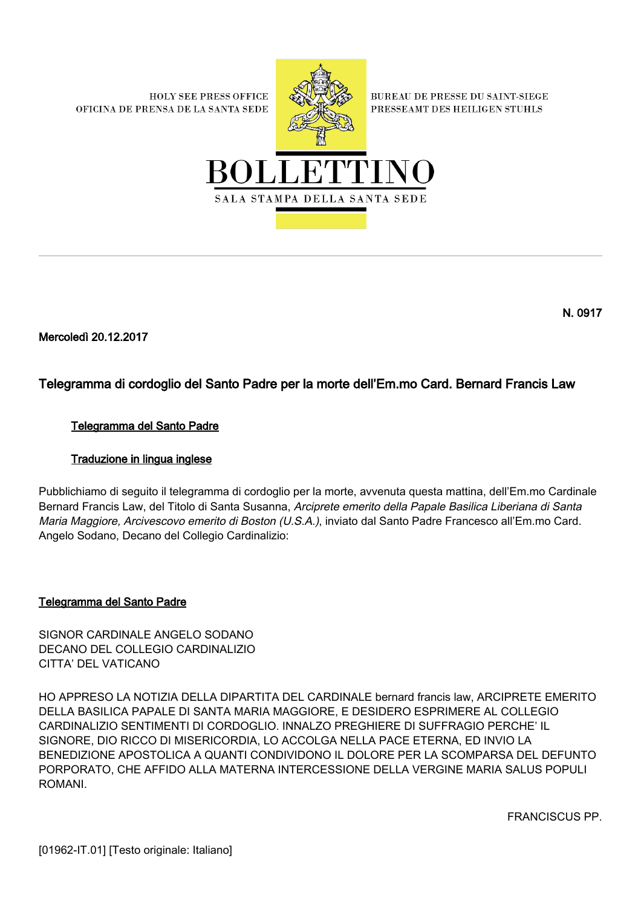**HOLY SEE PRESS OFFICE** OFICINA DE PRENSA DE LA SANTA SEDE



**BUREAU DE PRESSE DU SAINT-SIEGE** PRESSEAMT DES HEILIGEN STUHLS



N. 0917

Mercoledì 20.12.2017

# Telegramma di cordoglio del Santo Padre per la morte dell'Em.mo Card. Bernard Francis Law

## Telegramma del Santo Padre

## Traduzione in lingua inglese

Pubblichiamo di seguito il telegramma di cordoglio per la morte, avvenuta questa mattina, dell'Em.mo Cardinale Bernard Francis Law, del Titolo di Santa Susanna, Arciprete emerito della Papale Basilica Liberiana di Santa Maria Maggiore, Arcivescovo emerito di Boston (U.S.A.), inviato dal Santo Padre Francesco all'Em.mo Card. Angelo Sodano, Decano del Collegio Cardinalizio:

## Telegramma del Santo Padre

SIGNOR CARDINALE ANGELO SODANO DECANO DEL COLLEGIO CARDINALIZIO CITTA' DEL VATICANO

HO APPRESO LA NOTIZIA DELLA DIPARTITA DEL CARDINALE bernard francis law, ARCIPRETE EMERITO DELLA BASILICA PAPALE DI SANTA MARIA MAGGIORE, E DESIDERO ESPRIMERE AL COLLEGIO CARDINALIZIO SENTIMENTI DI CORDOGLIO. INNALZO PREGHIERE DI SUFFRAGIO PERCHE' IL SIGNORE, DIO RICCO DI MISERICORDIA, LO ACCOLGA NELLA PACE ETERNA, ED INVIO LA BENEDIZIONE APOSTOLICA A QUANTI CONDIVIDONO IL DOLORE PER LA SCOMPARSA DEL DEFUNTO PORPORATO, CHE AFFIDO ALLA MATERNA INTERCESSIONE DELLA VERGINE MARIA SALUS POPULI ROMANI.

FRANCISCUS PP.